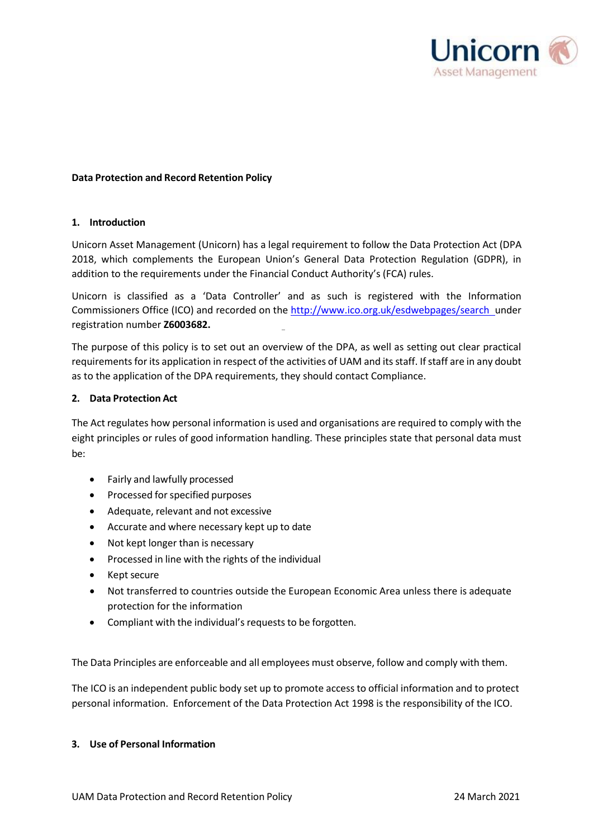

## **Data Protection and Record Retention Policy**

#### **1. Introduction**

Unicorn Asset Management (Unicorn) has a legal requirement to follow the Data Protection Act (DPA 2018, which complements the European Union's General Data Protection Regulation (GDPR), in addition to the requirements under the Financial Conduct Authority's (FCA) rules.

Unicorn is classified as a 'Data Controller' and as such is registered with the Information Commissioners Office (ICO) and recorded on the [http://www.ico.org.uk/esdwebpages/search u](http://www.ico.org.uk/esdwebpages/search%22%20%7d)nder registration number **Z6003682.**

The purpose of this policy is to set out an overview of the DPA, as well as setting out clear practical requirements for its application in respect of the activities of UAM and its staff. If staff are in any doubt as to the application of the DPA requirements, they should contact Compliance.

### **2. Data Protection Act**

The Act regulates how personal information is used and organisations are required to comply with the eight principles or rules of good information handling. These principles state that personal data must be:

- Fairly and lawfully processed
- Processed for specified purposes
- Adequate, relevant and not excessive
- Accurate and where necessary kept up to date
- Not kept longer than is necessary
- Processed in line with the rights of the individual
- Kept secure
- Not transferred to countries outside the European Economic Area unless there is adequate protection for the information
- Compliant with the individual's requests to be forgotten.

The Data Principles are enforceable and all employees must observe, follow and comply with them.

The ICO is an independent public body set up to promote access to official information and to protect personal information. Enforcement of the Data Protection Act 1998 is the responsibility of the ICO.

#### **3. Use of Personal Information**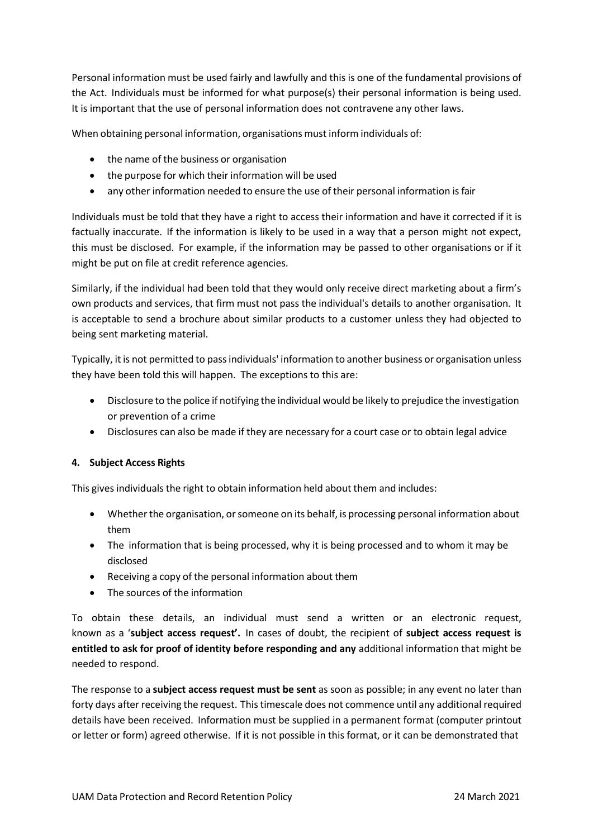Personal information must be used fairly and lawfully and this is one of the fundamental provisions of the Act. Individuals must be informed for what purpose(s) their personal information is being used. It is important that the use of personal information does not contravene any other laws.

When obtaining personal information, organisations must inform individuals of:

- the name of the business or organisation
- the purpose for which their information will be used
- any other information needed to ensure the use of their personal information is fair

Individuals must be told that they have a right to access their information and have it corrected if it is factually inaccurate. If the information is likely to be used in a way that a person might not expect, this must be disclosed. For example, if the information may be passed to other organisations or if it might be put on file at credit reference agencies.

Similarly, if the individual had been told that they would only receive direct marketing about a firm's own products and services, that firm must not pass the individual's details to another organisation. It is acceptable to send a brochure about similar products to a customer unless they had objected to being sent marketing material.

Typically, it is not permitted to passindividuals' information to another business or organisation unless they have been told this will happen. The exceptions to this are:

- Disclosure to the police if notifying the individual would be likely to prejudice the investigation or prevention of a crime
- Disclosures can also be made if they are necessary for a court case or to obtain legal advice

# **4. Subject Access Rights**

This gives individuals the right to obtain information held about them and includes:

- Whether the organisation, or someone on its behalf, is processing personal information about them
- The information that is being processed, why it is being processed and to whom it may be disclosed
- Receiving a copy of the personal information about them
- The sources of the information

To obtain these details, an individual must send a written or an electronic request, known as a '**subject access request'.** In cases of doubt, the recipient of **subject access request is entitled to ask for proof of identity before responding and any** additional information that might be needed to respond.

The response to a **subject access request must be sent** as soon as possible; in any event no later than forty days after receiving the request. This timescale does not commence until any additional required details have been received. Information must be supplied in a permanent format (computer printout or letter or form) agreed otherwise. If it is not possible in this format, or it can be demonstrated that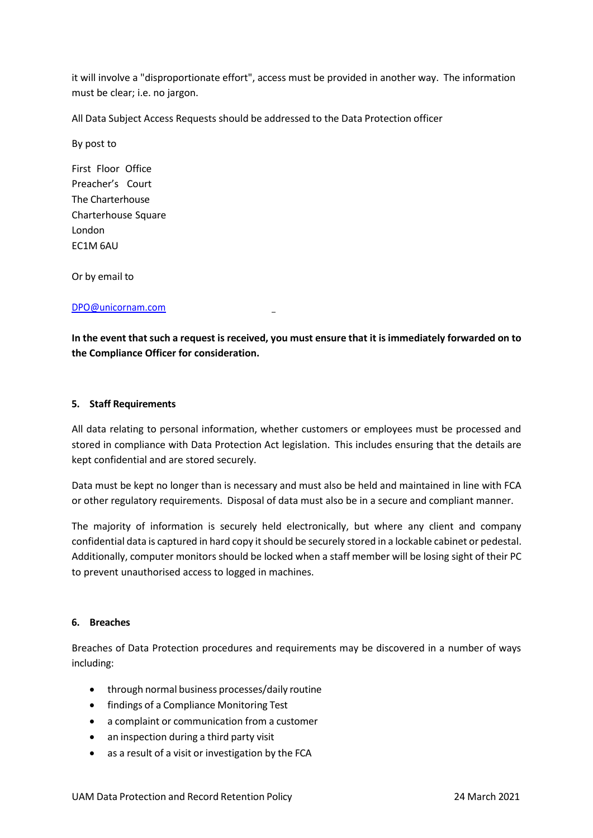it will involve a "disproportionate effort", access must be provided in another way. The information must be clear; i.e. no jargon.

All Data Subject Access Requests should be addressed to the Data Protection officer

By post to

First Floor Office Preacher's Court The Charterhouse Charterhouse Square London EC1M 6AU

Or by email to

### [DPO@unicornam.com](mailto:DPO@unicornam.com)

In the event that such a request is received, you must ensure that it is immediately forwarded on to **the Compliance Officer for consideration.**

### **5. Staff Requirements**

All data relating to personal information, whether customers or employees must be processed and stored in compliance with Data Protection Act legislation. This includes ensuring that the details are kept confidential and are stored securely.

Data must be kept no longer than is necessary and must also be held and maintained in line with FCA or other regulatory requirements. Disposal of data must also be in a secure and compliant manner.

The majority of information is securely held electronically, but where any client and company confidential data is captured in hard copy it should be securely stored in a lockable cabinet or pedestal. Additionally, computer monitors should be locked when a staff member will be losing sight of their PC to prevent unauthorised access to logged in machines.

#### **6. Breaches**

Breaches of Data Protection procedures and requirements may be discovered in a number of ways including:

- through normal business processes/daily routine
- findings of a Compliance Monitoring Test
- a complaint or communication from a customer
- an inspection during a third party visit
- as a result of a visit or investigation by the FCA